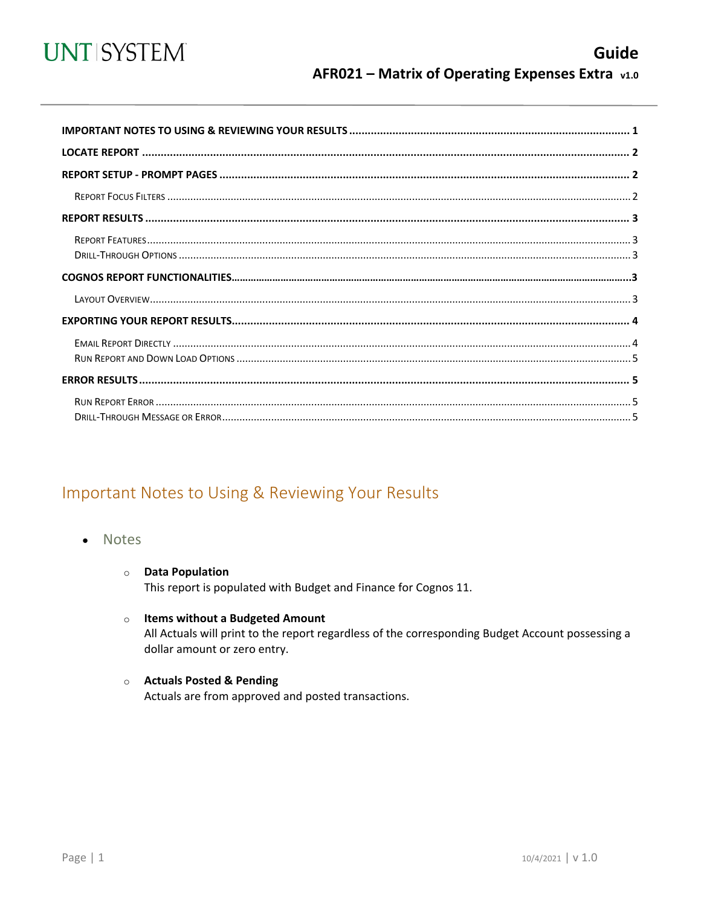

<span id="page-0-0"></span>

## Important Notes to Using & Reviewing Your Results

- Notes
	- **O** Data Population This report is populated with Budget and Finance for Cognos 11.
	- $\circ$  Items without a Budgeted Amount All Actuals will print to the report regardless of the corresponding Budget Account possessing a dollar amount or zero entry.
	- Actuals Posted & Pending Actuals are from approved and posted transactions.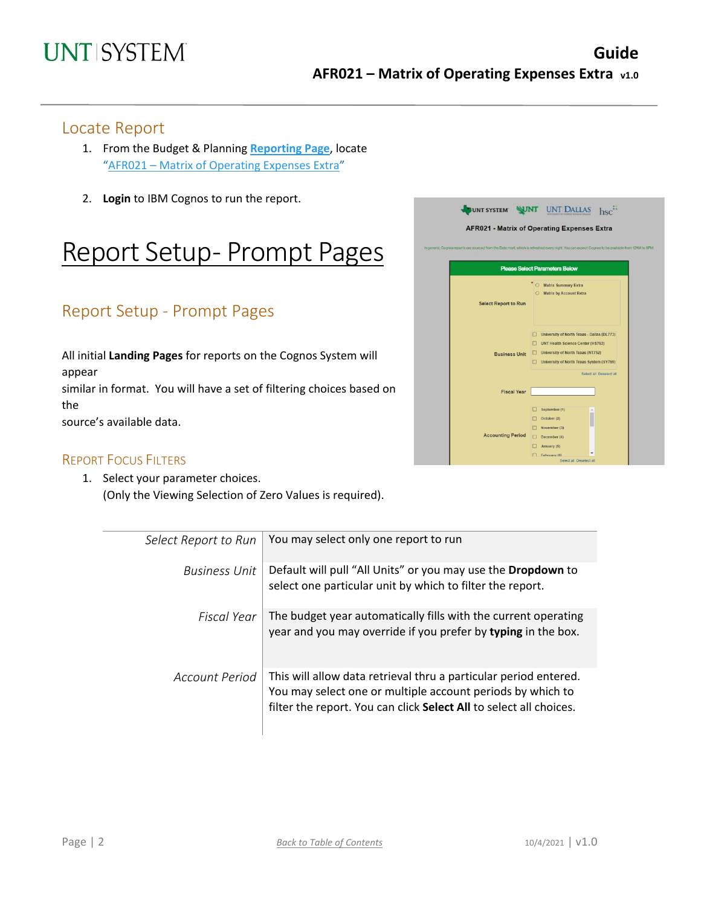#### Locate Report

- 1. From the Budget & Planning **[Reporting Page](https://finance.untsystem.edu/reporting)**, locate "AFR021 – [Matrix of Operating](https://cognospd.admin.unt.edu/bi/?pathRef=.public_folders%2FAFR%2BReports%2FAFR021%2B-%2BMatrix%2Bof%2BOperating%2BExpenses%2BExtra) Expenses Extra"
- 2. **Login** to IBM Cognos to run the report.

## Report Setup- Prompt Pages

## Report Setup - Prompt Pages

All initial **Landing Pages** for reports on the Cognos System will appear similar in format. You will have a set of filtering choices based on the source's available data.



1. Select your parameter choices. (Only the Viewing Selection of Zero Values is required).

| Select Report to Run | You may select only one report to run                                                                                                                                                                |
|----------------------|------------------------------------------------------------------------------------------------------------------------------------------------------------------------------------------------------|
| Business Unit        | Default will pull "All Units" or you may use the Dropdown to<br>select one particular unit by which to filter the report.                                                                            |
| Fiscal Year          | The budget year automatically fills with the current operating<br>year and you may override if you prefer by typing in the box.                                                                      |
| Account Period       | This will allow data retrieval thru a particular period entered.<br>You may select one or multiple account periods by which to<br>filter the report. You can click Select All to select all choices. |

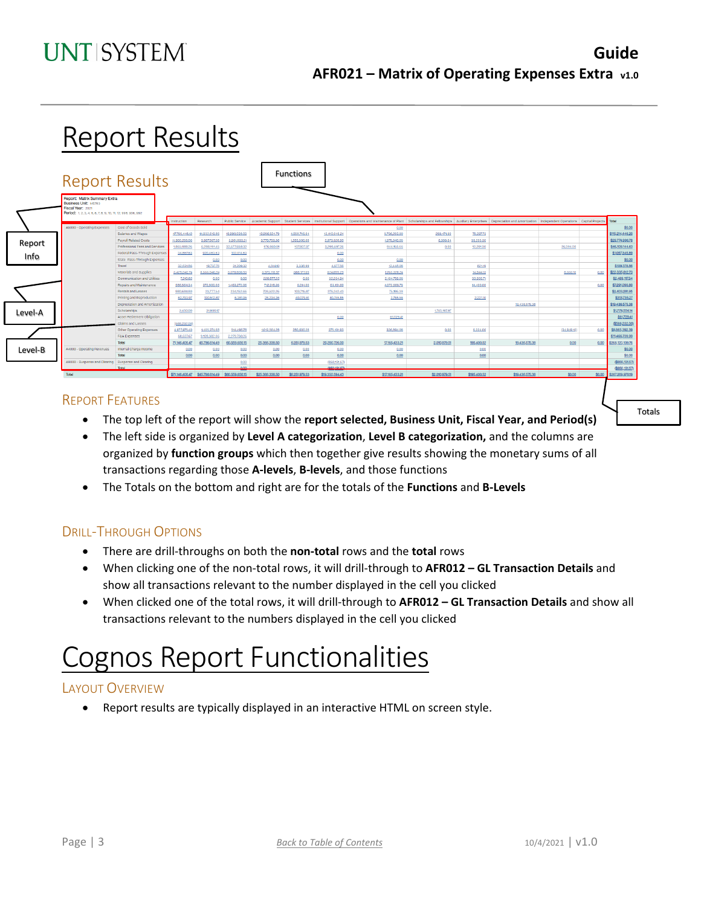# Report Results

|         | <b>Report Results</b>                                                                                                                            |                                               |                           |                                 |                 |                 | <b>Functions</b> |                 |                                                                                                                                                                                                                                |                |              |                 |             |        |                                  |
|---------|--------------------------------------------------------------------------------------------------------------------------------------------------|-----------------------------------------------|---------------------------|---------------------------------|-----------------|-----------------|------------------|-----------------|--------------------------------------------------------------------------------------------------------------------------------------------------------------------------------------------------------------------------------|----------------|--------------|-----------------|-------------|--------|----------------------------------|
|         | Report: Matrix Summary Extra<br><b>Business Unit: HS763</b><br>Fiscal Year: 2021<br>Period: 1, 2, 3, 4, 5, 6, 7, 8, 9, 10, 11, 12, 998, 906, 992 |                                               | Instruction               | Research                        |                 |                 |                  |                 | Public Service Academic Support   Student Services   Institutional Support   Operations and Maintenance of Plant   Scholarships and Fellowships   Auxiliary Enterprises   Depreciation and Amortization   Independent Operatio |                |              |                 |             |        | Total                            |
|         | A5000 - Operating Expenses                                                                                                                       | Cost of Goods Sold                            |                           |                                 |                 |                 |                  |                 | 0.00                                                                                                                                                                                                                           |                |              |                 |             |        | \$0.00                           |
|         |                                                                                                                                                  | Salaries and Wages                            | 47,795,448.12             | 14,932,619.85                   | 15,990,038.03   | 13,956,524.79   | 4,058,745.64     | 12,410,046.24   | 5,736,253.90                                                                                                                                                                                                                   | 259,471,90     | 75,297.73    |                 |             |        | \$115,214,446.20                 |
| Report  |                                                                                                                                                  | <b>Payroll Related Costs</b>                  | 11,900,255.06             | 3.967.807.58                    | 3,981,893.21    | 3,770,703.36    | 1,263,500.68     | 2,873,928.90    | 1,975,343.05                                                                                                                                                                                                                   | 6,309.64       | 35,255,30    |                 |             |        | \$29,774,996.78                  |
|         |                                                                                                                                                  | Professional Fees and Services                | 1,865,988.26              | 6,298,191.45                    | 12,577,658.32   | 976,960.81      | 107,807.37       | 3,299,697.26    | 944,155.66                                                                                                                                                                                                                     | 0.00           | 12,291.30    |                 | 26,394.00   |        | \$46,109,144.43                  |
| Info    |                                                                                                                                                  | Federal Pass-Through Expenses                 | 34,867.63                 | 920,463.63                      | 102,014.63      |                 |                  | 0.00            |                                                                                                                                                                                                                                |                |              |                 |             |        | \$1,057,345.89                   |
|         |                                                                                                                                                  | State Pass-Through Expenses                   |                           | 0.00                            | 0.00            |                 |                  | 0.00            | 0.00                                                                                                                                                                                                                           |                |              |                 |             |        | \$0.00                           |
|         |                                                                                                                                                  | Travel                                        | 32,631.86                 | 19,737.76                       | 31,209.32       | 4,514.10        | 3,338.99         | 4,677.56        | 12,448.08                                                                                                                                                                                                                      |                | 821.19       |                 |             |        | \$109,378.86                     |
|         |                                                                                                                                                  | Materials and Supplies                        | 3,429,040.74              | 8,555,040.24                    | 3,378,808.93    | 3,973,118,97    | 388,177.09       | 824,899.29      | 1,763,328.24                                                                                                                                                                                                                   |                | 14,844.13    |                 | 8,555.10    | 0.00   | \$22,335,812.73                  |
|         |                                                                                                                                                  | Communication and Utilities                   | 7,310.62                  | 0.00                            | 0.00            | 220,877.22      | 0.00             | 32,234.94       | 2,194,759.05                                                                                                                                                                                                                   |                | 33,935.71    |                 |             |        | \$2,489,117.54                   |
|         |                                                                                                                                                  | Repairs and Maintenance                       | 586,564.34                | 372,800.66                      | 1,463,272.06    | 712,318.35      | 6,014.00         | 63,151,60       | 4,072,569.79                                                                                                                                                                                                                   |                | 14,400.00    |                 |             | 0.00   | \$7,291,090.8                    |
|         |                                                                                                                                                  | Rentals and Leases                            | 980,684.80                | 23,777.54                       | 234,152.66      | 709,522.26      | 103,715.87       | 276,242.43      | 75,186.39                                                                                                                                                                                                                      |                |              |                 |             |        | \$2,403,281.95                   |
|         |                                                                                                                                                  | Printing and Reproduction                     | 62,793.97                 | 130,512.87                      | 6,381.95        | 28,234.36       | 40,079.61        | 40,745.85       | 2,765.56                                                                                                                                                                                                                       |                | 2,22110      |                 |             |        | \$313,735.27                     |
|         |                                                                                                                                                  | Depreciation and Amortization                 |                           |                                 |                 |                 |                  |                 |                                                                                                                                                                                                                                |                |              | 19.436.575.38   |             |        | \$19,436,575.38                  |
| Level-A |                                                                                                                                                  | Scholarships                                  | 2,450.00                  | 31,906.17                       |                 |                 |                  |                 |                                                                                                                                                                                                                                | 1,745,197.97   |              |                 |             |        | \$1,779,554.14                   |
|         |                                                                                                                                                  | Asset Retirement Obligation                   |                           |                                 |                 |                 |                  | 0.00            | 61,729.41                                                                                                                                                                                                                      |                |              |                 |             |        | \$61,729.41                      |
|         |                                                                                                                                                  | Claims and Losses<br>Other Operating Expenses | (588, 232.00)             | 1,405,374,68                    | 514,496.78      | 1,013,564.28    | 280,600.28       | 375,101.93      |                                                                                                                                                                                                                                |                |              |                 | (34.949.10) |        | (\$588,232.00)<br>\$8,865,392.39 |
|         |                                                                                                                                                  | <b>F&amp;A Expenses</b>                       | 1,977,975.40<br>58,627.67 | 9.128.382.06                    | 2,279,730.26    |                 |                  |                 | 326,894.08                                                                                                                                                                                                                     | 0.00           | 6,334.06     |                 |             | 0.00   | \$11,466,739.99                  |
|         |                                                                                                                                                  | Total                                         | 71,146,406.47             | 45,786,614.49                   | 60,559,656.15   | 25,366,338.50   | 6,251,979.53     | 20,200,726.00   | 17,165,433.21                                                                                                                                                                                                                  | 2.010.979.51   | 195,400.52   | 19,436,575.38   | 0.00        | 0.00   | \$268,120,109.76                 |
|         | A4000 - Operating Revenues                                                                                                                       | Internal Charge Income                        | 0.00                      | 0.00                            | 0.00            | 0.00            | 0.00             | 0.00            | 0.00                                                                                                                                                                                                                           |                | 0.00         |                 |             |        | \$0.00                           |
| Level-B |                                                                                                                                                  | Total                                         | 0.00                      | 0.00                            | 0.00            | 0.00            | 0.00             | 0.00            | 0.00                                                                                                                                                                                                                           |                | 0.00         |                 |             |        | \$0.00                           |
|         | A9000 - Suspense and Clearing Suspense and Clearing                                                                                              |                                               |                           |                                 | 0.00            |                 |                  | (850, 131.57)   |                                                                                                                                                                                                                                |                |              |                 |             |        | (\$850,131.57)                   |
|         |                                                                                                                                                  | Total                                         |                           |                                 | non.            |                 |                  | (850,131.57)    |                                                                                                                                                                                                                                |                |              |                 |             |        | (\$850,131.57)                   |
|         | Total                                                                                                                                            |                                               |                           | \$71,146,406,47 \$45,786,614.49 | \$60,559,656.15 | \$25,366,338.50 | \$6,251,979.53   | \$19,350,594.43 | \$17,165,433.21                                                                                                                                                                                                                | \$2,010,979.51 | \$195,400.52 | \$19,436,575.38 | \$0.00      | \$0.00 | \$267,269,978.19                 |

#### REPORT FEATURES

- The top left of the report will show the **report selected, Business Unit, Fiscal Year, and Period(s)**
- The left side is organized by **Level A categorization**, **Level B categorization,** and the columns are organized by **function groups** which then together give results showing the monetary sums of all transactions regarding those **A-levels**, **B-levels**, and those functions
- The Totals on the bottom and right are for the totals of the **Functions** and **B-Levels**

#### DRILL-THROUGH OPTIONS

- There are drill-throughs on both the **non-total** rows and the **total** rows
- When clicking one of the non-total rows, it will drill-through to **AFR012 – GL Transaction Details** and show all transactions relevant to the number displayed in the cell you clicked
- When clicked one of the total rows, it will drill-through to **AFR012 – GL Transaction Details** and show all transactions relevant to the numbers displayed in the cell you clicked

# Cognos Report Functionalities

#### LAYOUT OVERVIEW

• Report results are typically displayed in an interactive HTML on screen style.

Totals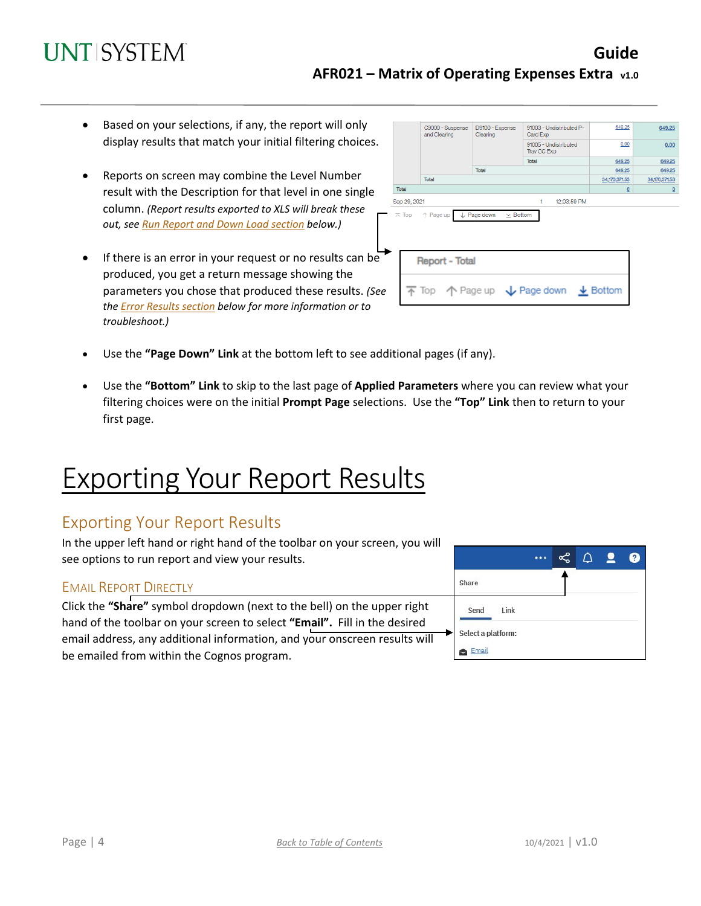### **Guide AFR021 – Matrix of Operating Expenses Extra v1.0**

- Based on your selections, if any, the report will only display results that match your initial filtering choices.
- Reports on screen may combine the Level Number result with the Description for that level in one single column. *(Report results exported to XLS will break these out, see Run Report and Down Load section below.)*
- If there is an error in your request or no results can be produced, you get a return message showing the parameters you chose that produced these results. *(See th[e Error Results section](#page-4-0) below for more information or to troubleshoot.)*

|              | C9000 - Suspense<br>and Clearing           | D9100 - Expense<br>Clearing               | 91003 - Undistributed P-<br>Card Exp                                                    | 649.25        | 649.25        |  |
|--------------|--------------------------------------------|-------------------------------------------|-----------------------------------------------------------------------------------------|---------------|---------------|--|
|              |                                            |                                           | 91005 - Undistributed<br>Trav CC Exp                                                    | 0.00          | 0.00          |  |
|              |                                            |                                           | Total                                                                                   | 649.25        | 649.25        |  |
|              |                                            | Total                                     |                                                                                         | 649.25        | 649.25        |  |
|              | Total                                      |                                           |                                                                                         | 34,170,371.53 | 34,170,371.53 |  |
| Total        |                                            |                                           |                                                                                         | $\Omega$      | $\Omega$      |  |
| Sep 29, 2021 |                                            |                                           | 1<br>12:03:59 PM                                                                        |               |               |  |
|              | $\overline{\wedge}$ Top $\uparrow$ Page up | $\downarrow$ Page down<br>$\times$ Bottom |                                                                                         |               |               |  |
|              | <b>Report - Total</b>                      |                                           |                                                                                         |               |               |  |
|              |                                            |                                           | $\overline{\uparrow}$ Top $\uparrow$ Page up $\downarrow$ Page down $\downarrow$ Bottom |               |               |  |

- Use the **"Page Down" Link** at the bottom left to see additional pages (if any).
- Use the **"Bottom" Link** to skip to the last page of **Applied Parameters** where you can review what your filtering choices were on the initial **Prompt Page** selections. Use the **"Top" Link** then to return to your first page.

## Exporting Your Report Results

### Exporting Your Report Results

In the upper left hand or right hand of the toolbar on your screen, you will see options to run report and view your results.

#### EMAIL REPORT DIRECTLY

Click the **"Share"** symbol dropdown (next to the bell) on the upper right hand of the toolbar on your screen to select **"Email".** Fill in the desired email address, any additional information, and your onscreen results will be emailed from within the Cognos program.

| ı |                    |  | $\boldsymbol{\mathsf{a}}$ | $\mathbf{r}$ |
|---|--------------------|--|---------------------------|--------------|
|   | Share              |  |                           |              |
|   | Send<br>Link       |  |                           |              |
|   | Select a platform: |  |                           |              |
|   | Email              |  |                           |              |